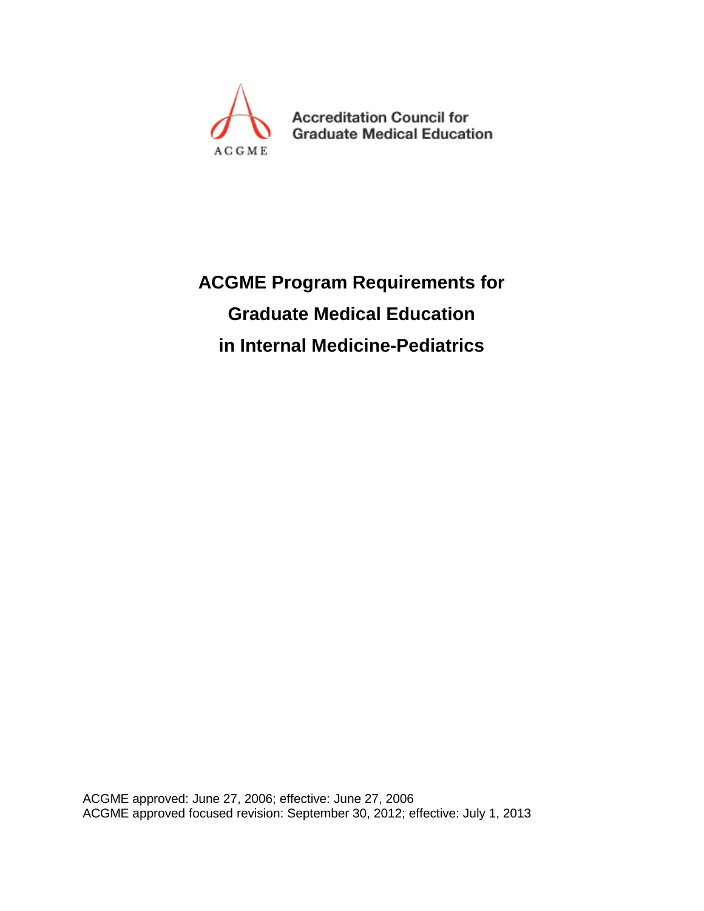

**Accreditation Council for Graduate Medical Education** 

# **ACGME Program Requirements for Graduate Medical Education in Internal Medicine-Pediatrics**

ACGME approved: June 27, 2006; effective: June 27, 2006 ACGME approved focused revision: September 30, 2012; effective: July 1, 2013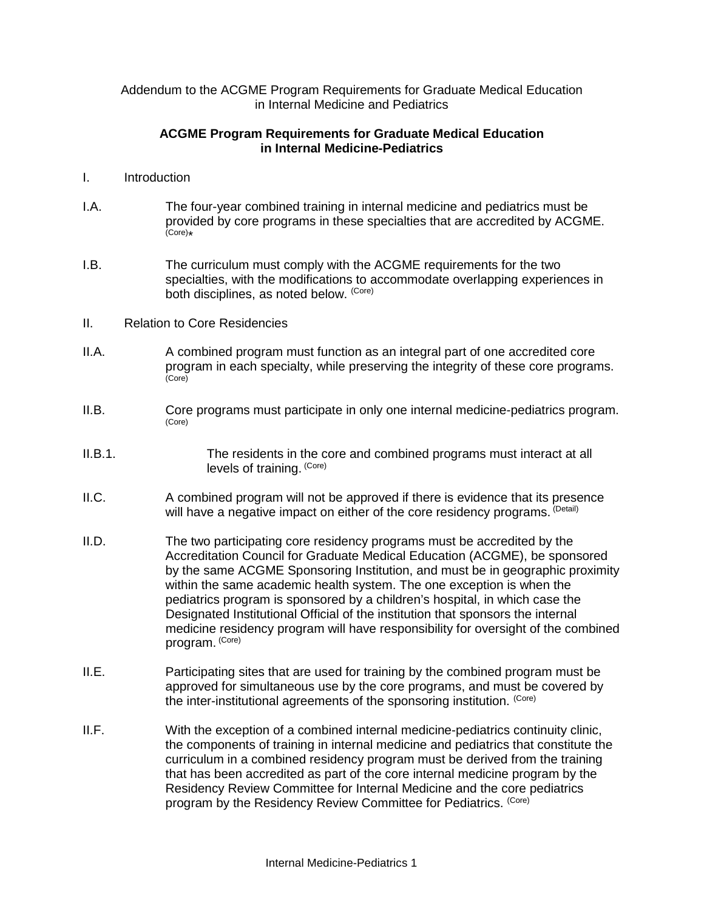Addendum to the ACGME Program Requirements for Graduate Medical Education in Internal Medicine and Pediatrics

# **ACGME Program Requirements for Graduate Medical Education in Internal Medicine-Pediatrics**

- I. Introduction
- I.A. The four-year combined training in internal medicine and pediatrics must be provided by core programs in these specialties that are accredited by ACGME. (Core)\*
- I.B. The curriculum must comply with the ACGME requirements for the two specialties, with the modifications to accommodate overlapping experiences in both disciplines, as noted below. (Core)
- II. Relation to Core Residencies
- II.A. A combined program must function as an integral part of one accredited core program in each specialty, while preserving the integrity of these core programs. (Core)
- II.B. Core programs must participate in only one internal medicine-pediatrics program. (Core)
- II.B.1. The residents in the core and combined programs must interact at all levels of training. (Core)
- II.C. A combined program will not be approved if there is evidence that its presence will have a negative impact on either of the core residency programs. (Detail)
- II.D. The two participating core residency programs must be accredited by the Accreditation Council for Graduate Medical Education (ACGME), be sponsored by the same ACGME Sponsoring Institution, and must be in geographic proximity within the same academic health system. The one exception is when the pediatrics program is sponsored by a children's hospital, in which case the Designated Institutional Official of the institution that sponsors the internal medicine residency program will have responsibility for oversight of the combined program. (Core)
- II.E. Participating sites that are used for training by the combined program must be approved for simultaneous use by the core programs, and must be covered by the inter-institutional agreements of the sponsoring institution. (Core)
- II.F. With the exception of a combined internal medicine-pediatrics continuity clinic, the components of training in internal medicine and pediatrics that constitute the curriculum in a combined residency program must be derived from the training that has been accredited as part of the core internal medicine program by the Residency Review Committee for Internal Medicine and the core pediatrics program by the Residency Review Committee for Pediatrics. (Core)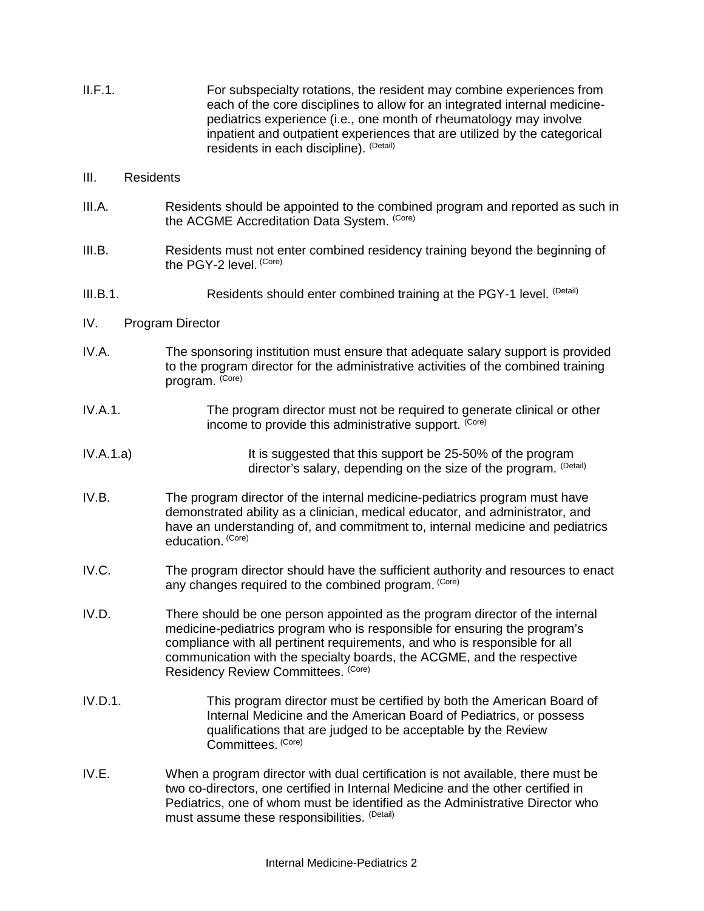II.F.1. For subspecialty rotations, the resident may combine experiences from each of the core disciplines to allow for an integrated internal medicinepediatrics experience (i.e., one month of rheumatology may involve inpatient and outpatient experiences that are utilized by the categorical residents in each discipline). (Detail)

### III. Residents

- III.A. Residents should be appointed to the combined program and reported as such in the ACGME Accreditation Data System. (Core)
- III.B. Residents must not enter combined residency training beyond the beginning of the PGY-2 level. (Core)
- III.B.1. Residents should enter combined training at the PGY-1 level. (Detail)

# IV. Program Director

- IV.A. The sponsoring institution must ensure that adequate salary support is provided to the program director for the administrative activities of the combined training program. (Core)
- IV.A.1. The program director must not be required to generate clinical or other income to provide this administrative support. <sup>(Core)</sup>
- IV.A.1.a) It is suggested that this support be 25-50% of the program director's salary, depending on the size of the program. (Detail)
- IV.B. The program director of the internal medicine-pediatrics program must have demonstrated ability as a clinician, medical educator, and administrator, and have an understanding of, and commitment to, internal medicine and pediatrics education. (Core)
- IV.C. The program director should have the sufficient authority and resources to enact any changes required to the combined program. (Core)
- IV.D. There should be one person appointed as the program director of the internal medicine-pediatrics program who is responsible for ensuring the program's compliance with all pertinent requirements, and who is responsible for all communication with the specialty boards, the ACGME, and the respective Residency Review Committees. (Core)
- IV.D.1. This program director must be certified by both the American Board of Internal Medicine and the American Board of Pediatrics, or possess qualifications that are judged to be acceptable by the Review Committees. (Core)
- IV.E. When a program director with dual certification is not available, there must be two co-directors, one certified in Internal Medicine and the other certified in Pediatrics, one of whom must be identified as the Administrative Director who must assume these responsibilities. (Detail)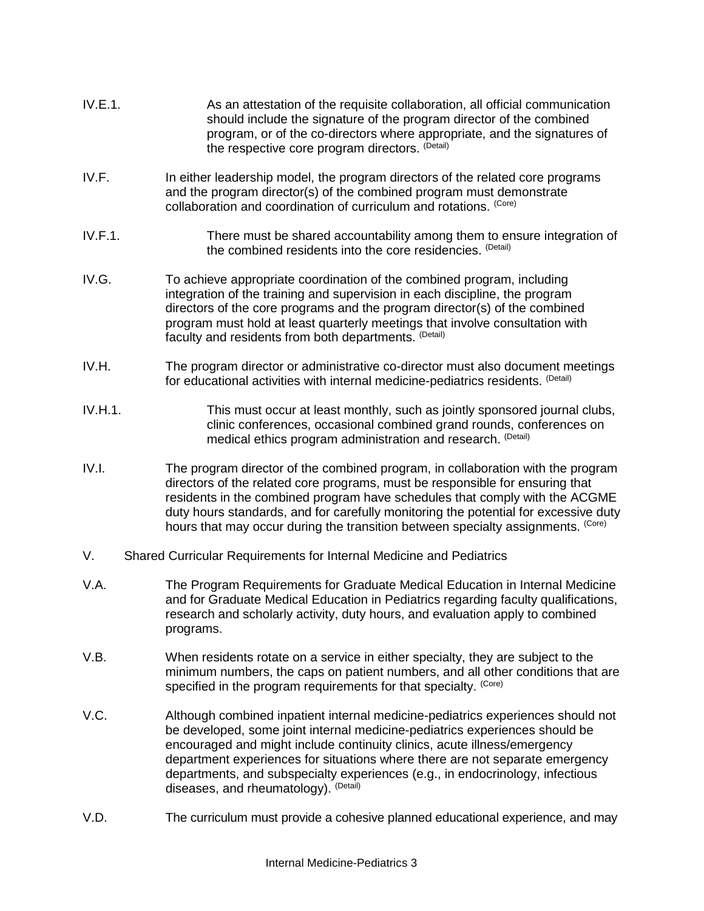- IV.E.1. As an attestation of the requisite collaboration, all official communication should include the signature of the program director of the combined program, or of the co-directors where appropriate, and the signatures of the respective core program directors. (Detail)
- IV.F. In either leadership model, the program directors of the related core programs and the program director(s) of the combined program must demonstrate collaboration and coordination of curriculum and rotations. (Core)
- IV.F.1. There must be shared accountability among them to ensure integration of the combined residents into the core residencies. (Detail)
- IV.G. To achieve appropriate coordination of the combined program, including integration of the training and supervision in each discipline, the program directors of the core programs and the program director(s) of the combined program must hold at least quarterly meetings that involve consultation with faculty and residents from both departments. (Detail)
- IV.H. The program director or administrative co-director must also document meetings for educational activities with internal medicine-pediatrics residents. (Detail)
- IV.H.1. This must occur at least monthly, such as jointly sponsored journal clubs, clinic conferences, occasional combined grand rounds, conferences on medical ethics program administration and research. (Detail)
- IV.I. The program director of the combined program, in collaboration with the program directors of the related core programs, must be responsible for ensuring that residents in the combined program have schedules that comply with the ACGME duty hours standards, and for carefully monitoring the potential for excessive duty hours that may occur during the transition between specialty assignments. (Core)
- V. Shared Curricular Requirements for Internal Medicine and Pediatrics
- V.A. The Program Requirements for Graduate Medical Education in Internal Medicine and for Graduate Medical Education in Pediatrics regarding faculty qualifications, research and scholarly activity, duty hours, and evaluation apply to combined programs.
- V.B. When residents rotate on a service in either specialty, they are subject to the minimum numbers, the caps on patient numbers, and all other conditions that are specified in the program requirements for that specialty. (Core)
- V.C. Although combined inpatient internal medicine-pediatrics experiences should not be developed, some joint internal medicine-pediatrics experiences should be encouraged and might include continuity clinics, acute illness/emergency department experiences for situations where there are not separate emergency departments, and subspecialty experiences (e.g., in endocrinology, infectious diseases, and rheumatology). (Detail)
- V.D. The curriculum must provide a cohesive planned educational experience, and may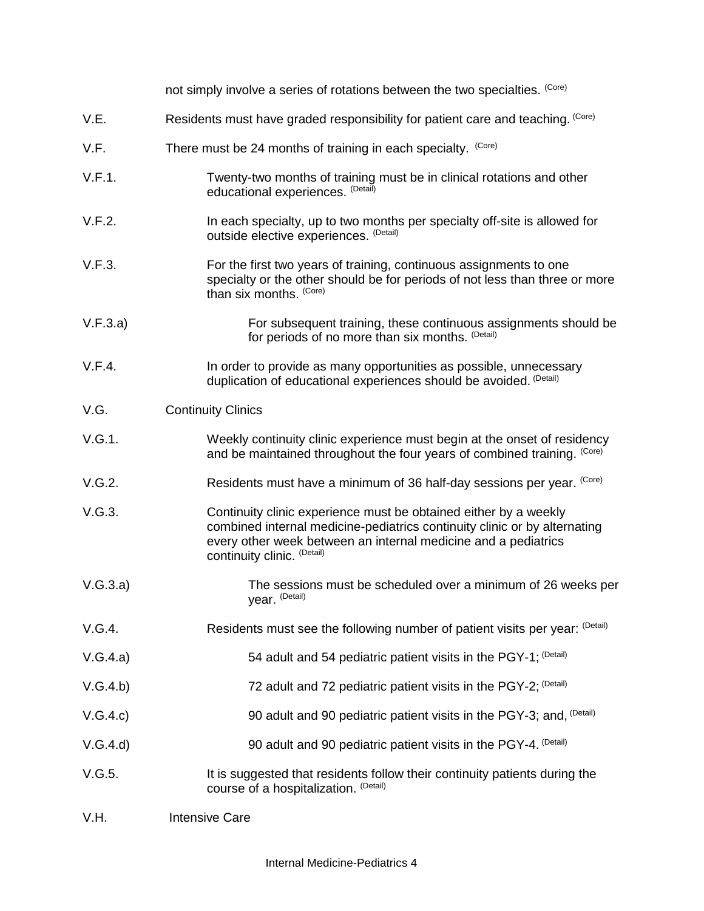|          | not simply involve a series of rotations between the two specialties. (Core)                                                                                                                                                                   |
|----------|------------------------------------------------------------------------------------------------------------------------------------------------------------------------------------------------------------------------------------------------|
| V.E.     | Residents must have graded responsibility for patient care and teaching. (Core)                                                                                                                                                                |
| V.F.     | There must be 24 months of training in each specialty. (Core)                                                                                                                                                                                  |
| V.F.1.   | Twenty-two months of training must be in clinical rotations and other<br>educational experiences. (Detail)                                                                                                                                     |
| V.F.2.   | In each specialty, up to two months per specialty off-site is allowed for<br>outside elective experiences. (Detail)                                                                                                                            |
| V.F.3.   | For the first two years of training, continuous assignments to one<br>specialty or the other should be for periods of not less than three or more<br>than six months. (Core)                                                                   |
| V.F.3.a) | For subsequent training, these continuous assignments should be<br>for periods of no more than six months. (Detail)                                                                                                                            |
| V.F.4.   | In order to provide as many opportunities as possible, unnecessary<br>duplication of educational experiences should be avoided. (Detail)                                                                                                       |
| V.G.     | <b>Continuity Clinics</b>                                                                                                                                                                                                                      |
| V.G.1.   | Weekly continuity clinic experience must begin at the onset of residency<br>and be maintained throughout the four years of combined training. (Core)                                                                                           |
| V.G.2.   | Residents must have a minimum of 36 half-day sessions per year. (Core)                                                                                                                                                                         |
| V.G.3.   | Continuity clinic experience must be obtained either by a weekly<br>combined internal medicine-pediatrics continuity clinic or by alternating<br>every other week between an internal medicine and a pediatrics<br>continuity clinic. (Detail) |
| V.G.3.a) | The sessions must be scheduled over a minimum of 26 weeks per<br>year. (Detail)                                                                                                                                                                |
| V.G.4.   | Residents must see the following number of patient visits per year: (Detail)                                                                                                                                                                   |
| V.G.4.a) | 54 adult and 54 pediatric patient visits in the PGY-1; <sup>(Detail)</sup>                                                                                                                                                                     |
| V.G.4.b) | 72 adult and 72 pediatric patient visits in the PGY-2; <sup>(Detail)</sup>                                                                                                                                                                     |
| V.G.4.c) | 90 adult and 90 pediatric patient visits in the PGY-3; and, <sup>(Detail)</sup>                                                                                                                                                                |
| V.G.4.d) | 90 adult and 90 pediatric patient visits in the PGY-4. (Detail)                                                                                                                                                                                |
| V.G.5.   | It is suggested that residents follow their continuity patients during the<br>course of a hospitalization. (Detail)                                                                                                                            |
| V.H.     | <b>Intensive Care</b>                                                                                                                                                                                                                          |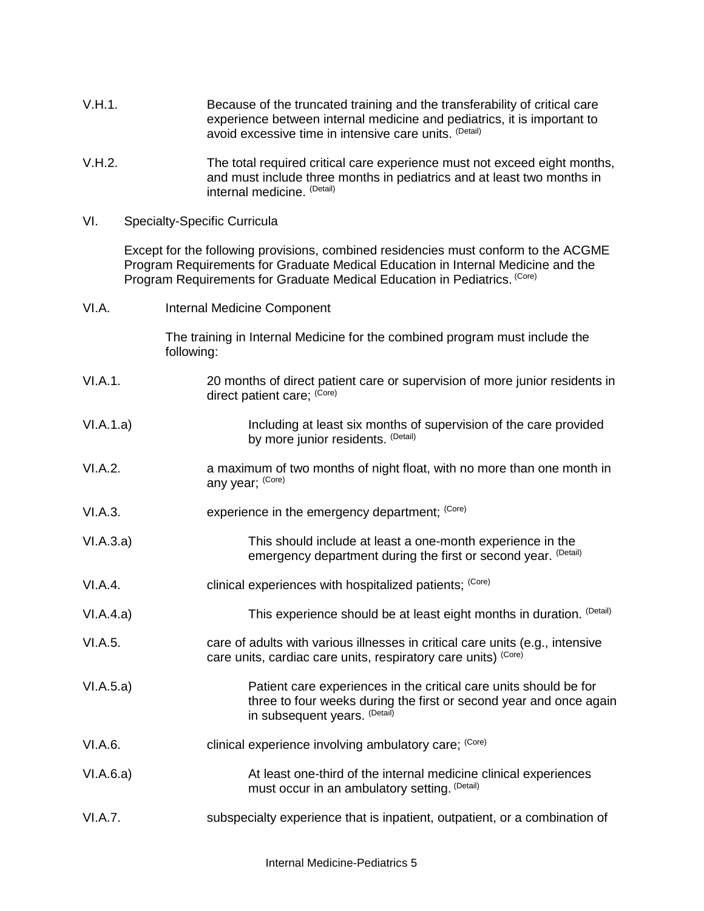| V.H.1. | Because of the truncated training and the transferability of critical care |
|--------|----------------------------------------------------------------------------|
|        | experience between internal medicine and pediatrics, it is important to    |
|        | avoid excessive time in intensive care units. (Detail)                     |

- V.H.2. The total required critical care experience must not exceed eight months, and must include three months in pediatrics and at least two months in internal medicine. (Detail)
- VI. Specialty-Specific Curricula

Except for the following provisions, combined residencies must conform to the ACGME Program Requirements for Graduate Medical Education in Internal Medicine and the Program Requirements for Graduate Medical Education in Pediatrics. (Core)

| VI.A.     | Internal Medicine Component                                                                                                                                              |  |
|-----------|--------------------------------------------------------------------------------------------------------------------------------------------------------------------------|--|
|           | The training in Internal Medicine for the combined program must include the<br>following:                                                                                |  |
| VI.A.1.   | 20 months of direct patient care or supervision of more junior residents in<br>direct patient care; (Core)                                                               |  |
| VI.A.1.a) | Including at least six months of supervision of the care provided<br>by more junior residents. (Detail)                                                                  |  |
| VI.A.2.   | a maximum of two months of night float, with no more than one month in<br>any year; (Core)                                                                               |  |
| VI.A.3.   | experience in the emergency department; (Core)                                                                                                                           |  |
| VI.A.3.a) | This should include at least a one-month experience in the<br>emergency department during the first or second year. (Detail)                                             |  |
| VI.A.4.   | clinical experiences with hospitalized patients; (Core)                                                                                                                  |  |
| VI.A.4.a) | This experience should be at least eight months in duration. (Detail)                                                                                                    |  |
| VI.A.5.   | care of adults with various illnesses in critical care units (e.g., intensive<br>care units, cardiac care units, respiratory care units) (Core)                          |  |
| VI.A.5.a) | Patient care experiences in the critical care units should be for<br>three to four weeks during the first or second year and once again<br>in subsequent years. (Detail) |  |
| VI.A.6.   | clinical experience involving ambulatory care; (Core)                                                                                                                    |  |
| VI.A.6.a) | At least one-third of the internal medicine clinical experiences<br>must occur in an ambulatory setting. (Detail)                                                        |  |
| VI.A.7.   | subspecialty experience that is inpatient, outpatient, or a combination of                                                                                               |  |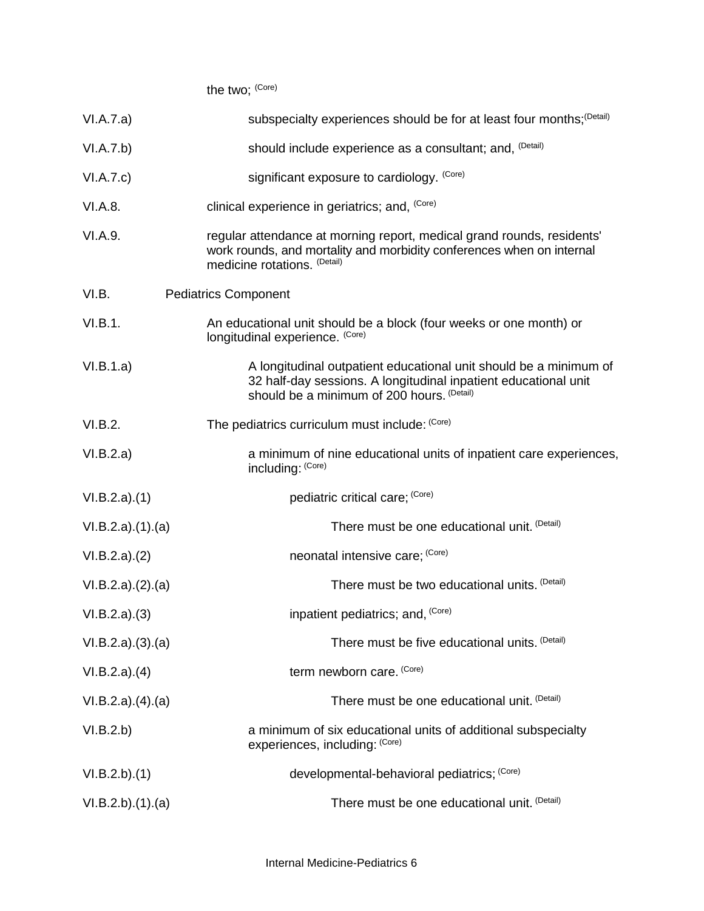| the two; (Core) |  |
|-----------------|--|
|-----------------|--|

| VI.A.7.a)        | subspecialty experiences should be for at least four months; (Detail)                                                                                                              |
|------------------|------------------------------------------------------------------------------------------------------------------------------------------------------------------------------------|
| VI.A.7.b)        | should include experience as a consultant; and, <sup>(Detail)</sup>                                                                                                                |
| VI.A.7.c)        | significant exposure to cardiology. (Core)                                                                                                                                         |
| VI.A.8.          | clinical experience in geriatrics; and, (Core)                                                                                                                                     |
| VI.A.9.          | regular attendance at morning report, medical grand rounds, residents'<br>work rounds, and mortality and morbidity conferences when on internal<br>medicine rotations. (Detail)    |
| VI.B.            | <b>Pediatrics Component</b>                                                                                                                                                        |
| VI.B.1.          | An educational unit should be a block (four weeks or one month) or<br>longitudinal experience. (Core)                                                                              |
| VI.B.1.a)        | A longitudinal outpatient educational unit should be a minimum of<br>32 half-day sessions. A longitudinal inpatient educational unit<br>should be a minimum of 200 hours. (Detail) |
| VI.B.2.          | The pediatrics curriculum must include: (Core)                                                                                                                                     |
| VI.B.2.a)        | a minimum of nine educational units of inpatient care experiences,<br>including: (Core)                                                                                            |
| VI.B.2.a)(1)     | pediatric critical care; (Core)                                                                                                                                                    |
| VI.B.2.a)(1).(a) | There must be one educational unit. (Detail)                                                                                                                                       |
| VI.B.2.a)(2)     | neonatal intensive care; (Core)                                                                                                                                                    |
| VI.B.2.a)(2).(a) | There must be two educational units. (Detail)                                                                                                                                      |
| VI.B.2.a)(3)     | inpatient pediatrics; and, (Core)                                                                                                                                                  |
| VI.B.2.a)(3)(a)  | There must be five educational units. (Detail)                                                                                                                                     |
| VI.B.2.a)(4)     | term newborn care. (Core)                                                                                                                                                          |
| VI.B.2.a)(4).(a) | There must be one educational unit. (Detail)                                                                                                                                       |
| VI.B.2.b)        | a minimum of six educational units of additional subspecialty<br>experiences, including: (Core)                                                                                    |
| VI.B.2.b)(1)     | developmental-behavioral pediatrics; (Core)                                                                                                                                        |
| VI.B.2.b)(1)(a)  | There must be one educational unit. (Detail)                                                                                                                                       |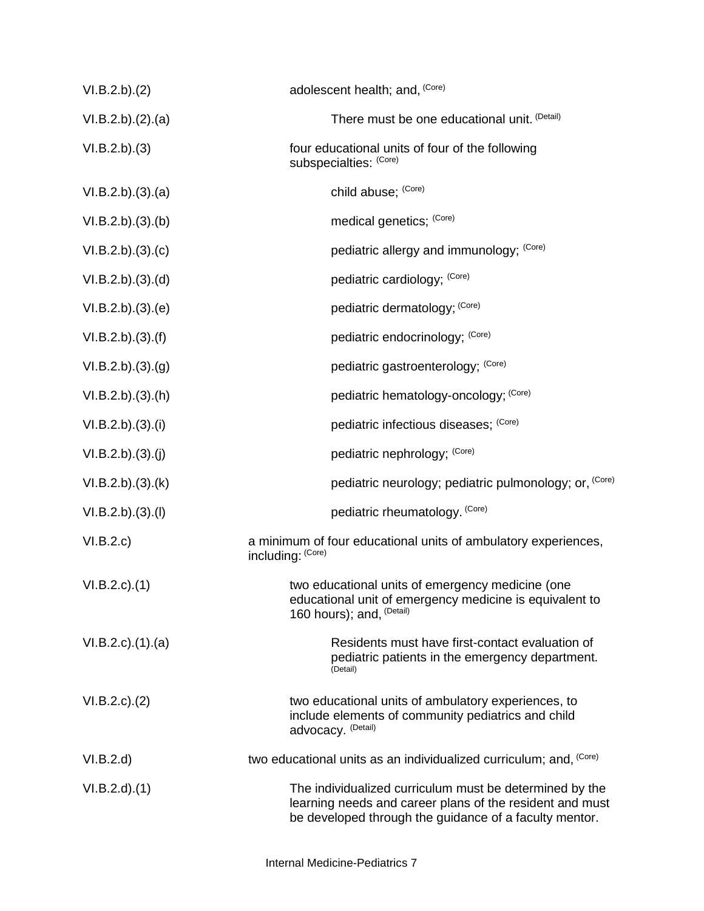| VI.B.2.b).(2)             | adolescent health; and, (Core)                                                                                                                                                |
|---------------------------|-------------------------------------------------------------------------------------------------------------------------------------------------------------------------------|
| VI.B.2.b)(2).(a)          | There must be one educational unit. (Detail)                                                                                                                                  |
| VI.B.2.b)(3)              | four educational units of four of the following<br>subspecialties: (Core)                                                                                                     |
| VI.B.2.b)(3)(a)           | child abuse; (Core)                                                                                                                                                           |
| VI.B.2.b)(3)(b)           | medical genetics; (Core)                                                                                                                                                      |
| VI.B.2.b)(3)(c)           | pediatric allergy and immunology; (Core)                                                                                                                                      |
| VI.B.2.b)(3)(d)           | pediatric cardiology; (Core)                                                                                                                                                  |
| VI.B.2.b)(3)(e)           | pediatric dermatology; (Core)                                                                                                                                                 |
| VI.B.2.b)(3)(f)           | pediatric endocrinology; (Core)                                                                                                                                               |
| VI.B.2.b)(3)(g)           | pediatric gastroenterology; (Core)                                                                                                                                            |
| VI.B.2.b)(3)(h)           | pediatric hematology-oncology; (Core)                                                                                                                                         |
| VI.B.2.b)(3)(i)           | pediatric infectious diseases; (Core)                                                                                                                                         |
| VI.B.2.b)(3)(j)           | pediatric nephrology; (Core)                                                                                                                                                  |
| VI.B.2.b)(3)(k)           | pediatric neurology; pediatric pulmonology; or, (Core)                                                                                                                        |
| VI.B.2.b)(3)(I)           | pediatric rheumatology. (Core)                                                                                                                                                |
| VI.B.2.c)                 | a minimum of four educational units of ambulatory experiences,<br>including: (Core)                                                                                           |
| $VI.B.2.c$ ). $(1)$       | two educational units of emergency medicine (one<br>educational unit of emergency medicine is equivalent to<br>160 hours); and, <sup>(Detail)</sup>                           |
| $VI.B.2.c$ . $(1).$ $(a)$ | Residents must have first-contact evaluation of<br>pediatric patients in the emergency department.<br>(Detail)                                                                |
| $VI.B.2.c$ ). $(2)$       | two educational units of ambulatory experiences, to<br>include elements of community pediatrics and child<br>advocacy. (Detail)                                               |
| VI.B.2.d)                 | two educational units as an individualized curriculum; and, (Core)                                                                                                            |
| VI.B.2.d)(1)              | The individualized curriculum must be determined by the<br>learning needs and career plans of the resident and must<br>be developed through the guidance of a faculty mentor. |